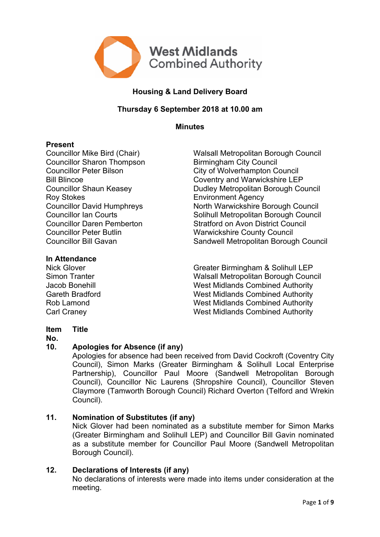

# **Housing & Land Delivery Board**

## **Thursday 6 September 2018 at 10.00 am**

**Minutes**

#### **Present**

Councillor Sharon Thompson Birmingham City Council Roy Stokes **Environment Agency** Councillor Peter Butlin Warwickshire County Council

#### **In Attendance**

Councillor Mike Bird (Chair) Walsall Metropolitan Borough Council Councillor Peter Bilson City of Wolverhampton Council Bill Blincoe<br>
Coventry and Warwickshire LEP<br>
Councillor Shaun Keasey<br>
Coventry and Warwickshire LEP Dudley Metropolitan Borough Council Councillor David Humphreys North Warwickshire Borough Council Councillor Ian Courts **Solinull Metropolitan Borough Council** Councillor Daren Pemberton Stratford on Avon District Council Councillor Bill Gavan Sandwell Metropolitan Borough Council

Nick Glover Greater Birmingham & Solihull LEP Simon Tranter Walsall Metropolitan Borough Council Jacob Bonehill West Midlands Combined Authority Gareth Bradford West Midlands Combined Authority Rob Lamond West Midlands Combined Authority Carl Craney West Midlands Combined Authority

#### **Item Title**

#### **No.**

#### **10. Apologies for Absence (if any)**

Apologies for absence had been received from David Cockroft (Coventry City Council), Simon Marks (Greater Birmingham & Solihull Local Enterprise Partnership), Councillor Paul Moore (Sandwell Metropolitan Borough Council), Councillor Nic Laurens (Shropshire Council), Councillor Steven Claymore (Tamworth Borough Council) Richard Overton (Telford and Wrekin Council).

#### **11. Nomination of Substitutes (if any)**

Nick Glover had been nominated as a substitute member for Simon Marks (Greater Birmingham and Solihull LEP) and Councillor Bill Gavin nominated as a substitute member for Councillor Paul Moore (Sandwell Metropolitan Borough Council).

#### **12. Declarations of Interests (if any)**

No declarations of interests were made into items under consideration at the meeting.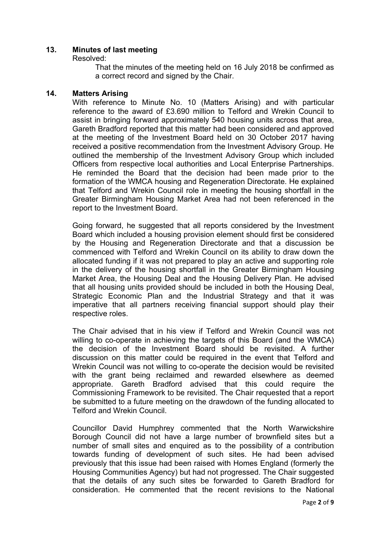#### **13. Minutes of last meeting**

Resolved:

That the minutes of the meeting held on 16 July 2018 be confirmed as a correct record and signed by the Chair.

#### **14. Matters Arising**

With reference to Minute No. 10 (Matters Arising) and with particular reference to the award of £3.690 million to Telford and Wrekin Council to assist in bringing forward approximately 540 housing units across that area, Gareth Bradford reported that this matter had been considered and approved at the meeting of the Investment Board held on 30 October 2017 having received a positive recommendation from the Investment Advisory Group. He outlined the membership of the Investment Advisory Group which included Officers from respective local authorities and Local Enterprise Partnerships. He reminded the Board that the decision had been made prior to the formation of the WMCA housing and Regeneration Directorate. He explained that Telford and Wrekin Council role in meeting the housing shortfall in the Greater Birmingham Housing Market Area had not been referenced in the report to the Investment Board.

Going forward, he suggested that all reports considered by the Investment Board which included a housing provision element should first be considered by the Housing and Regeneration Directorate and that a discussion be commenced with Telford and Wrekin Council on its ability to draw down the allocated funding if it was not prepared to play an active and supporting role in the delivery of the housing shortfall in the Greater Birmingham Housing Market Area, the Housing Deal and the Housing Delivery Plan. He advised that all housing units provided should be included in both the Housing Deal, Strategic Economic Plan and the Industrial Strategy and that it was imperative that all partners receiving financial support should play their respective roles.

The Chair advised that in his view if Telford and Wrekin Council was not willing to co-operate in achieving the targets of this Board (and the WMCA) the decision of the Investment Board should be revisited. A further discussion on this matter could be required in the event that Telford and Wrekin Council was not willing to co-operate the decision would be revisited with the grant being reclaimed and rewarded elsewhere as deemed appropriate. Gareth Bradford advised that this could require the Commissioning Framework to be revisited. The Chair requested that a report be submitted to a future meeting on the drawdown of the funding allocated to Telford and Wrekin Council.

Councillor David Humphrey commented that the North Warwickshire Borough Council did not have a large number of brownfield sites but a number of small sites and enquired as to the possibility of a contribution towards funding of development of such sites. He had been advised previously that this issue had been raised with Homes England (formerly the Housing Communities Agency) but had not progressed. The Chair suggested that the details of any such sites be forwarded to Gareth Bradford for consideration. He commented that the recent revisions to the National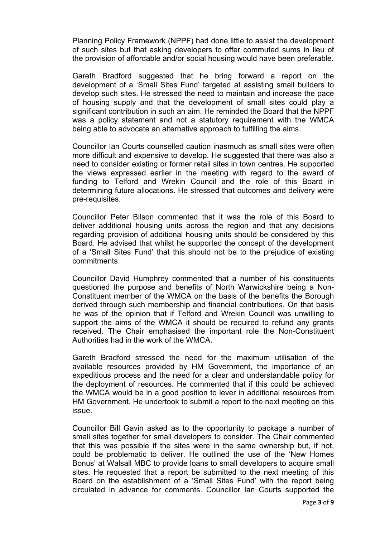Planning Policy Framework (NPPF) had done little to assist the development of such sites but that asking developers to offer commuted sums in lieu of the provision of affordable and/or social housing would have been preferable.

Gareth Bradford suggested that he bring forward a report on the development of a 'Small Sites Fund' targeted at assisting small builders to develop such sites. He stressed the need to maintain and increase the pace of housing supply and that the development of small sites could play a significant contribution in such an aim. He reminded the Board that the NPPF was a policy statement and not a statutory requirement with the WMCA being able to advocate an alternative approach to fulfilling the aims.

Councillor Ian Courts counselled caution inasmuch as small sites were often more difficult and expensive to develop. He suggested that there was also a need to consider existing or former retail sites in town centres. He supported the views expressed earlier in the meeting with regard to the award of funding to Telford and Wrekin Council and the role of this Board in determining future allocations. He stressed that outcomes and delivery were pre-requisites.

Councillor Peter Bilson commented that it was the role of this Board to deliver additional housing units across the region and that any decisions regarding provision of additional housing units should be considered by this Board. He advised that whilst he supported the concept of the development of a 'Small Sites Fund' that this should not be to the prejudice of existing commitments.

Councillor David Humphrey commented that a number of his constituents questioned the purpose and benefits of North Warwickshire being a Non-Constituent member of the WMCA on the basis of the benefits the Borough derived through such membership and financial contributions. On that basis he was of the opinion that if Telford and Wrekin Council was unwilling to support the aims of the WMCA it should be required to refund any grants received. The Chair emphasised the important role the Non-Constituent Authorities had in the work of the WMCA.

Gareth Bradford stressed the need for the maximum utilisation of the available resources provided by HM Government, the importance of an expeditious process and the need for a clear and understandable policy for the deployment of resources. He commented that if this could be achieved the WMCA would be in a good position to lever in additional resources from HM Government. He undertook to submit a report to the next meeting on this issue.

Councillor Bill Gavin asked as to the opportunity to package a number of small sites together for small developers to consider. The Chair commented that this was possible if the sites were in the same ownership but, if not, could be problematic to deliver. He outlined the use of the 'New Homes Bonus' at Walsall MBC to provide loans to small developers to acquire small sites. He requested that a report be submitted to the next meeting of this Board on the establishment of a 'Small Sites Fund' with the report being circulated in advance for comments. Councillor Ian Courts supported the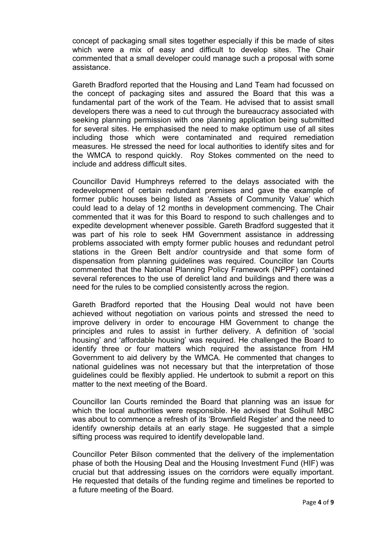concept of packaging small sites together especially if this be made of sites which were a mix of easy and difficult to develop sites. The Chair commented that a small developer could manage such a proposal with some assistance.

Gareth Bradford reported that the Housing and Land Team had focussed on the concept of packaging sites and assured the Board that this was a fundamental part of the work of the Team. He advised that to assist small developers there was a need to cut through the bureaucracy associated with seeking planning permission with one planning application being submitted for several sites. He emphasised the need to make optimum use of all sites including those which were contaminated and required remediation measures. He stressed the need for local authorities to identify sites and for the WMCA to respond quickly. Roy Stokes commented on the need to include and address difficult sites.

Councillor David Humphreys referred to the delays associated with the redevelopment of certain redundant premises and gave the example of former public houses being listed as 'Assets of Community Value' which could lead to a delay of 12 months in development commencing. The Chair commented that it was for this Board to respond to such challenges and to expedite development whenever possible. Gareth Bradford suggested that it was part of his role to seek HM Government assistance in addressing problems associated with empty former public houses and redundant petrol stations in the Green Belt and/or countryside and that some form of dispensation from planning guidelines was required. Councillor Ian Courts commented that the National Planning Policy Framework (NPPF) contained several references to the use of derelict land and buildings and there was a need for the rules to be complied consistently across the region.

Gareth Bradford reported that the Housing Deal would not have been achieved without negotiation on various points and stressed the need to improve delivery in order to encourage HM Government to change the principles and rules to assist in further delivery. A definition of 'social housing' and 'affordable housing' was required. He challenged the Board to identify three or four matters which required the assistance from HM Government to aid delivery by the WMCA. He commented that changes to national guidelines was not necessary but that the interpretation of those guidelines could be flexibly applied. He undertook to submit a report on this matter to the next meeting of the Board.

Councillor Ian Courts reminded the Board that planning was an issue for which the local authorities were responsible. He advised that Solihull MBC was about to commence a refresh of its 'Brownfield Register' and the need to identify ownership details at an early stage. He suggested that a simple sifting process was required to identify developable land.

Councillor Peter Bilson commented that the delivery of the implementation phase of both the Housing Deal and the Housing Investment Fund (HIF) was crucial but that addressing issues on the corridors were equally important. He requested that details of the funding regime and timelines be reported to a future meeting of the Board.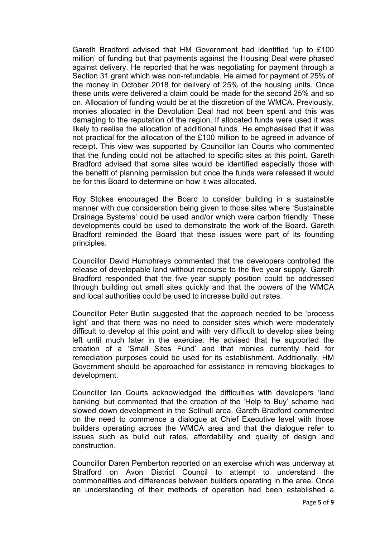Gareth Bradford advised that HM Government had identified 'up to £100 million' of funding but that payments against the Housing Deal were phased against delivery. He reported that he was negotiating for payment through a Section 31 grant which was non-refundable. He aimed for payment of 25% of the money in October 2018 for delivery of 25% of the housing units. Once these units were delivered a claim could be made for the second 25% and so on. Allocation of funding would be at the discretion of the WMCA. Previously, monies allocated in the Devolution Deal had not been spent and this was damaging to the reputation of the region. If allocated funds were used it was likely to realise the allocation of additional funds. He emphasised that it was not practical for the allocation of the £100 million to be agreed in advance of receipt. This view was supported by Councillor Ian Courts who commented that the funding could not be attached to specific sites at this point. Gareth Bradford advised that some sites would be identified especially those with the benefit of planning permission but once the funds were released it would be for this Board to determine on how it was allocated.

Roy Stokes encouraged the Board to consider building in a sustainable manner with due consideration being given to those sites where 'Sustainable Drainage Systems' could be used and/or which were carbon friendly. These developments could be used to demonstrate the work of the Board. Gareth Bradford reminded the Board that these issues were part of its founding principles.

Councillor David Humphreys commented that the developers controlled the release of developable land without recourse to the five year supply. Gareth Bradford responded that the five year supply position could be addressed through building out small sites quickly and that the powers of the WMCA and local authorities could be used to increase build out rates.

Councillor Peter Butlin suggested that the approach needed to be 'process light' and that there was no need to consider sites which were moderately difficult to develop at this point and with very difficult to develop sites being left until much later in the exercise. He advised that he supported the creation of a 'Small Sites Fund' and that monies currently held for remediation purposes could be used for its establishment. Additionally, HM Government should be approached for assistance in removing blockages to development.

Councillor Ian Courts acknowledged the difficulties with developers 'land banking' but commented that the creation of the 'Help to Buy' scheme had slowed down development in the Solihull area. Gareth Bradford commented on the need to commence a dialogue at Chief Executive level with those builders operating across the WMCA area and that the dialogue refer to issues such as build out rates, affordability and quality of design and construction.

Councillor Daren Pemberton reported on an exercise which was underway at Stratford on Avon District Council to attempt to understand the commonalities and differences between builders operating in the area. Once an understanding of their methods of operation had been established a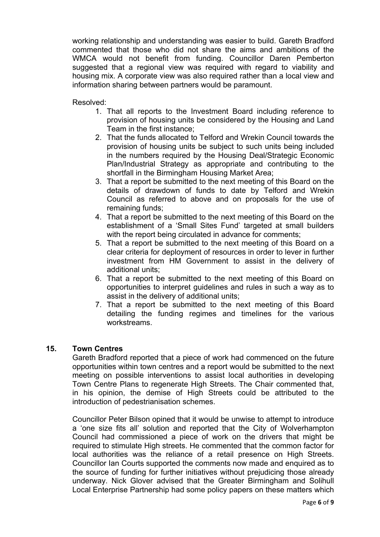working relationship and understanding was easier to build. Gareth Bradford commented that those who did not share the aims and ambitions of the WMCA would not benefit from funding. Councillor Daren Pemberton suggested that a regional view was required with regard to viability and housing mix. A corporate view was also required rather than a local view and information sharing between partners would be paramount.

Resolved:

- 1. That all reports to the Investment Board including reference to provision of housing units be considered by the Housing and Land Team in the first instance;
- 2. That the funds allocated to Telford and Wrekin Council towards the provision of housing units be subject to such units being included in the numbers required by the Housing Deal/Strategic Economic Plan/Industrial Strategy as appropriate and contributing to the shortfall in the Birmingham Housing Market Area;
- 3. That a report be submitted to the next meeting of this Board on the details of drawdown of funds to date by Telford and Wrekin Council as referred to above and on proposals for the use of remaining funds;
- 4. That a report be submitted to the next meeting of this Board on the establishment of a 'Small Sites Fund' targeted at small builders with the report being circulated in advance for comments:
- 5. That a report be submitted to the next meeting of this Board on a clear criteria for deployment of resources in order to lever in further investment from HM Government to assist in the delivery of additional units;
- 6. That a report be submitted to the next meeting of this Board on opportunities to interpret guidelines and rules in such a way as to assist in the delivery of additional units;
- 7. That a report be submitted to the next meeting of this Board detailing the funding regimes and timelines for the various workstreams.

#### **15. Town Centres**

Gareth Bradford reported that a piece of work had commenced on the future opportunities within town centres and a report would be submitted to the next meeting on possible interventions to assist local authorities in developing Town Centre Plans to regenerate High Streets. The Chair commented that, in his opinion, the demise of High Streets could be attributed to the introduction of pedestrianisation schemes.

Councillor Peter Bilson opined that it would be unwise to attempt to introduce a 'one size fits all' solution and reported that the City of Wolverhampton Council had commissioned a piece of work on the drivers that might be required to stimulate High streets. He commented that the common factor for local authorities was the reliance of a retail presence on High Streets. Councillor Ian Courts supported the comments now made and enquired as to the source of funding for further initiatives without prejudicing those already underway. Nick Glover advised that the Greater Birmingham and Solihull Local Enterprise Partnership had some policy papers on these matters which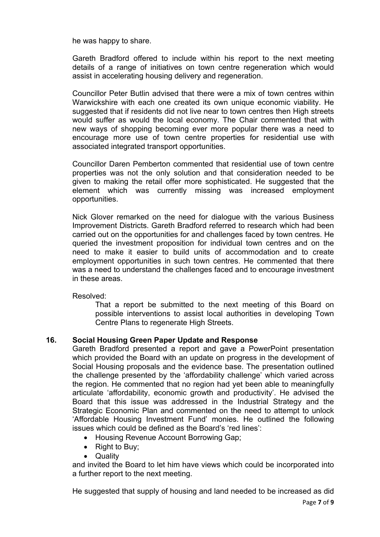he was happy to share.

Gareth Bradford offered to include within his report to the next meeting details of a range of initiatives on town centre regeneration which would assist in accelerating housing delivery and regeneration.

Councillor Peter Butlin advised that there were a mix of town centres within Warwickshire with each one created its own unique economic viability. He suggested that if residents did not live near to town centres then High streets would suffer as would the local economy. The Chair commented that with new ways of shopping becoming ever more popular there was a need to encourage more use of town centre properties for residential use with associated integrated transport opportunities.

Councillor Daren Pemberton commented that residential use of town centre properties was not the only solution and that consideration needed to be given to making the retail offer more sophisticated. He suggested that the element which was currently missing was increased employment opportunities.

Nick Glover remarked on the need for dialogue with the various Business Improvement Districts. Gareth Bradford referred to research which had been carried out on the opportunities for and challenges faced by town centres. He queried the investment proposition for individual town centres and on the need to make it easier to build units of accommodation and to create employment opportunities in such town centres. He commented that there was a need to understand the challenges faced and to encourage investment in these areas.

Resolved:

That a report be submitted to the next meeting of this Board on possible interventions to assist local authorities in developing Town Centre Plans to regenerate High Streets.

#### **16. Social Housing Green Paper Update and Response**

Gareth Bradford presented a report and gave a PowerPoint presentation which provided the Board with an update on progress in the development of Social Housing proposals and the evidence base. The presentation outlined the challenge presented by the 'affordability challenge' which varied across the region. He commented that no region had yet been able to meaningfully articulate 'affordability, economic growth and productivity'. He advised the Board that this issue was addressed in the Industrial Strategy and the Strategic Economic Plan and commented on the need to attempt to unlock 'Affordable Housing Investment Fund' monies. He outlined the following issues which could be defined as the Board's 'red lines':

- Housing Revenue Account Borrowing Gap:
- Right to Buy;
- Quality

and invited the Board to let him have views which could be incorporated into a further report to the next meeting.

He suggested that supply of housing and land needed to be increased as did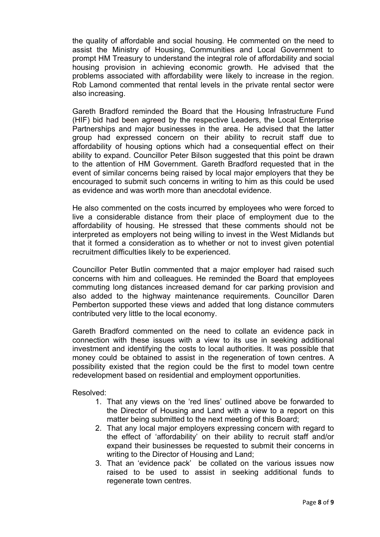the quality of affordable and social housing. He commented on the need to assist the Ministry of Housing, Communities and Local Government to prompt HM Treasury to understand the integral role of affordability and social housing provision in achieving economic growth. He advised that the problems associated with affordability were likely to increase in the region. Rob Lamond commented that rental levels in the private rental sector were also increasing.

Gareth Bradford reminded the Board that the Housing Infrastructure Fund (HIF) bid had been agreed by the respective Leaders, the Local Enterprise Partnerships and major businesses in the area. He advised that the latter group had expressed concern on their ability to recruit staff due to affordability of housing options which had a consequential effect on their ability to expand. Councillor Peter Bilson suggested that this point be drawn to the attention of HM Government. Gareth Bradford requested that in the event of similar concerns being raised by local major employers that they be encouraged to submit such concerns in writing to him as this could be used as evidence and was worth more than anecdotal evidence.

He also commented on the costs incurred by employees who were forced to live a considerable distance from their place of employment due to the affordability of housing. He stressed that these comments should not be interpreted as employers not being willing to invest in the West Midlands but that it formed a consideration as to whether or not to invest given potential recruitment difficulties likely to be experienced.

Councillor Peter Butlin commented that a major employer had raised such concerns with him and colleagues. He reminded the Board that employees commuting long distances increased demand for car parking provision and also added to the highway maintenance requirements. Councillor Daren Pemberton supported these views and added that long distance commuters contributed very little to the local economy.

Gareth Bradford commented on the need to collate an evidence pack in connection with these issues with a view to its use in seeking additional investment and identifying the costs to local authorities. It was possible that money could be obtained to assist in the regeneration of town centres. A possibility existed that the region could be the first to model town centre redevelopment based on residential and employment opportunities.

Resolved:

- 1. That any views on the 'red lines' outlined above be forwarded to the Director of Housing and Land with a view to a report on this matter being submitted to the next meeting of this Board;
- 2. That any local major employers expressing concern with regard to the effect of 'affordability' on their ability to recruit staff and/or expand their businesses be requested to submit their concerns in writing to the Director of Housing and Land;
- 3. That an 'evidence pack' be collated on the various issues now raised to be used to assist in seeking additional funds to regenerate town centres.